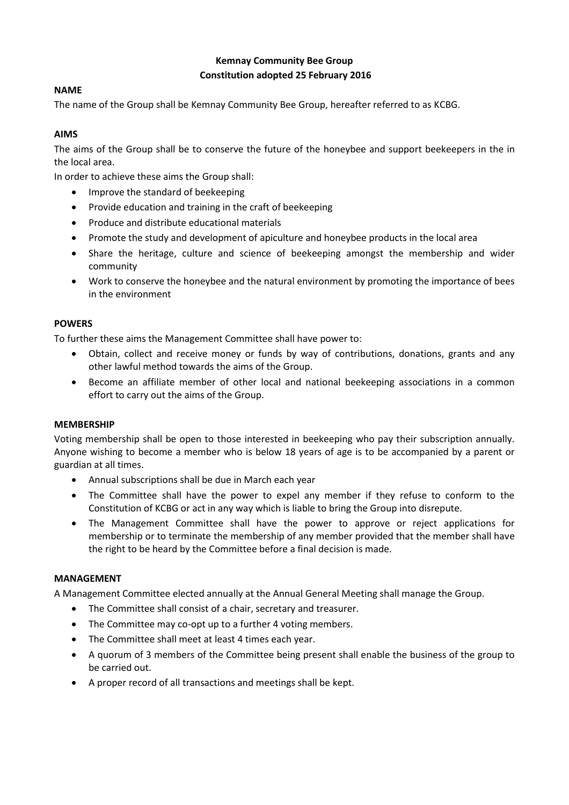# **Kemnay Community Bee Group Constitution adopted 25 February 2016**

## **NAME**

The name of the Group shall be Kemnay Community Bee Group, hereafter referred to as KCBG.

# **AIMS**

The aims of the Group shall be to conserve the future of the honeybee and support beekeepers in the in the local area.

In order to achieve these aims the Group shall:

- Improve the standard of beekeeping
- Provide education and training in the craft of beekeeping
- Produce and distribute educational materials
- Promote the study and development of apiculture and honeybee products in the local area
- Share the heritage, culture and science of beekeeping amongst the membership and wider community
- Work to conserve the honeybee and the natural environment by promoting the importance of bees in the environment

## **POWERS**

To further these aims the Management Committee shall have power to:

- Obtain, collect and receive money or funds by way of contributions, donations, grants and any other lawful method towards the aims of the Group.
- Become an affiliate member of other local and national beekeeping associations in a common effort to carry out the aims of the Group.

### **MEMBERSHIP**

Voting membership shall be open to those interested in beekeeping who pay their subscription annually. Anyone wishing to become a member who is below 18 years of age is to be accompanied by a parent or guardian at all times.

- Annual subscriptions shall be due in March each year
- The Committee shall have the power to expel any member if they refuse to conform to the Constitution of KCBG or act in any way which is liable to bring the Group into disrepute.
- The Management Committee shall have the power to approve or reject applications for membership or to terminate the membership of any member provided that the member shall have the right to be heard by the Committee before a final decision is made.

## **MANAGEMENT**

A Management Committee elected annually at the Annual General Meeting shall manage the Group.

- The Committee shall consist of a chair, secretary and treasurer.
- The Committee may co-opt up to a further 4 voting members.
- The Committee shall meet at least 4 times each year.
- A quorum of 3 members of the Committee being present shall enable the business of the group to be carried out.
- A proper record of all transactions and meetings shall be kept.